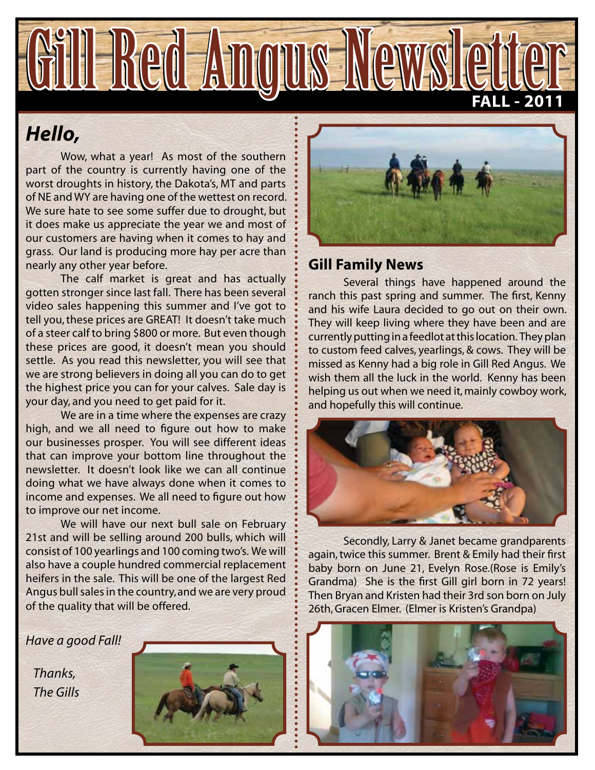

# *Hello,*

Wow, what a year! As most of the southern part of the country is currently having one of the worst droughts in history, the Dakota's, MT and parts of NE and WY are having one of the wettest on record. We sure hate to see some suffer due to drought, but it does make us appreciate the year we and most of our customers are having when it comes to hay and grass. Our land is producing more hay per acre than nearly any other year before.

The calf market is great and has actually gotten stronger since last fall. There has been several video sales happening this summer and I've got to tell you, these prices are GREAT! It doesn't take much of a steer calf to bring \$800 or more. But even though these prices are good, it doesn't mean you should settle. As you read this newsletter, you will see that we are strong believers in doing all you can do to get the highest price you can for your calves. Sale day is your day, and you need to get paid for it.

We are in a time where the expenses are crazy high, and we all need to figure out how to make our businesses prosper. You will see different ideas that can improve your bottom line throughout the newsletter. It doesn't look like we can all continue doing what we have always done when it comes to income and expenses. We all need to figure out how to improve our net income.

We will have our next bull sale on February 21st and will be selling around 200 bulls, which will consist of 100 yearlings and 100 coming two's. We will also have a couple hundred commercial replacement heifers in the sale. This will be one of the largest Red Angus bull sales in the country, and we are very proud of the quality that will be offered.

*Have a good Fall!*

 *Thanks, The Gills*





### **Gill Family News**

Several things have happened around the ranch this past spring and summer. The first, Kenny and his wife Laura decided to go out on their own. They will keep living where they have been and are currently putting in a feedlot at this location. They plan to custom feed calves, yearlings, & cows. They will be missed as Kenny had a big role in Gill Red Angus. We wish them all the luck in the world. Kenny has been helping us out when we need it, mainly cowboy work, and hopefully this will continue.



Secondly, Larry & Janet became grandparents again, twice this summer. Brent & Emily had their first baby born on June 21, Evelyn Rose.(Rose is Emily's Grandma) She is the first Gill girl born in 72 years! Then Bryan and Kristen had their 3rd son born on July 26th, Gracen Elmer. (Elmer is Kristen's Grandpa)

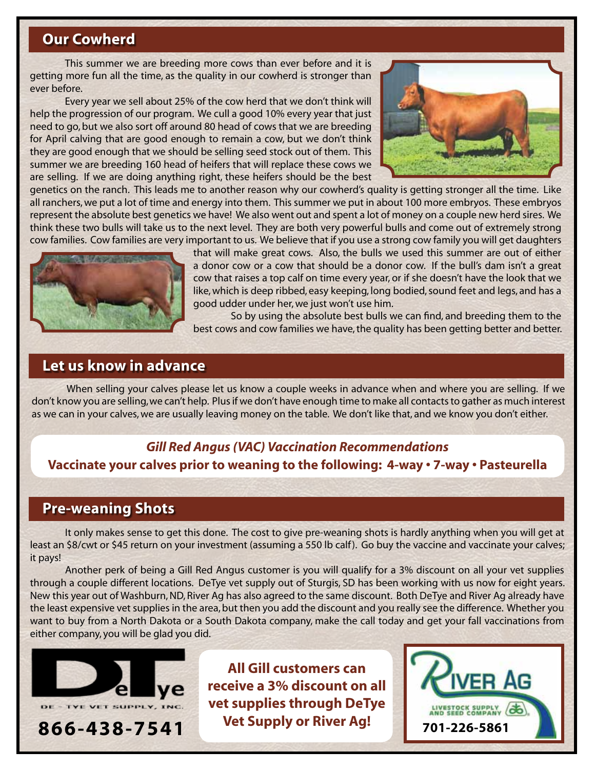### **Our Cowherd**

This summer we are breeding more cows than ever before and it is getting more fun all the time, as the quality in our cowherd is stronger than ever before.

Every year we sell about 25% of the cow herd that we don't think will help the progression of our program. We cull a good 10% every year that just need to go, but we also sort off around 80 head of cows that we are breeding for April calving that are good enough to remain a cow, but we don't think they are good enough that we should be selling seed stock out of them. This summer we are breeding 160 head of heifers that will replace these cows we are selling. If we are doing anything right, these heifers should be the best



genetics on the ranch. This leads me to another reason why our cowherd's quality is getting stronger all the time. Like all ranchers, we put a lot of time and energy into them. This summer we put in about 100 more embryos. These embryos represent the absolute best genetics we have! We also went out and spent a lot of money on a couple new herd sires. We think these two bulls will take us to the next level. They are both very powerful bulls and come out of extremely strong cow families. Cow families are very important to us. We believe that if you use a strong cow family you will get daughters



that will make great cows. Also, the bulls we used this summer are out of either a donor cow or a cow that should be a donor cow. If the bull's dam isn't a great cow that raises a top calf on time every year, or if she doesn't have the look that we like, which is deep ribbed, easy keeping, long bodied, sound feet and legs, and has a good udder under her, we just won't use him.

 So by using the absolute best bulls we can find, and breeding them to the best cows and cow families we have, the quality has been getting better and better.

### **Let us know in advance**

When selling your calves please let us know a couple weeks in advance when and where you are selling. If we don't know you are selling, we can't help. Plus if we don't have enough time to make all contacts to gather as much interest as we can in your calves, we are usually leaving money on the table. We don't like that, and we know you don't either.

### *Gill Red Angus (VAC) Vaccination Recommendations* **Vaccinate your calves prior to weaning to the following: 4-way • 7-way • Pasteurella**

### **Pre-weaning Shots**

It only makes sense to get this done. The cost to give pre-weaning shots is hardly anything when you will get at least an \$8/cwt or \$45 return on your investment (assuming a 550 lb calf ). Go buy the vaccine and vaccinate your calves; it pays!

Another perk of being a Gill Red Angus customer is you will qualify for a 3% discount on all your vet supplies through a couple different locations. DeTye vet supply out of Sturgis, SD has been working with us now for eight years. New this year out of Washburn, ND, River Ag has also agreed to the same discount. Both DeTye and River Ag already have the least expensive vet supplies in the area, but then you add the discount and you really see the difference. Whether you want to buy from a North Dakota or a South Dakota company, make the call today and get your fall vaccinations from either company, you will be glad you did.



**All Gill customers can receive a 3% discount on all vet supplies through DeTye Vet Supply or River Ag!**

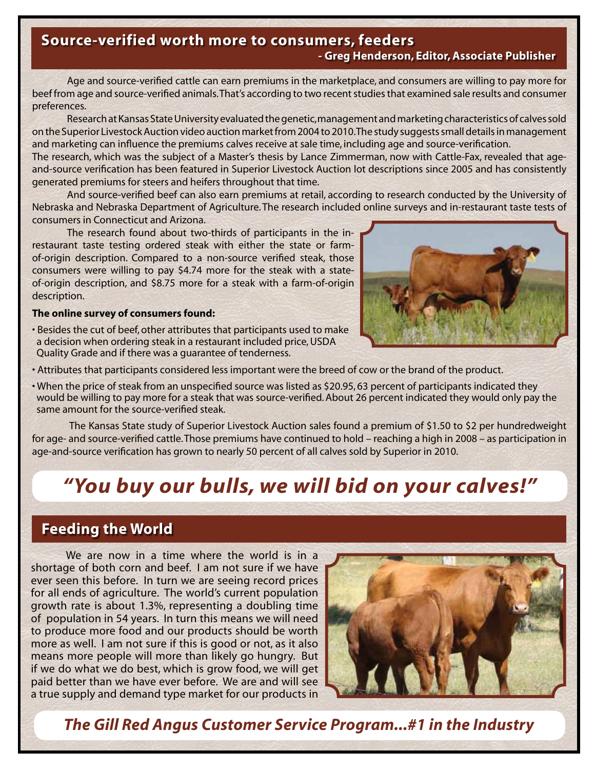# **Source-verified worth more to consumers, feeders**

#### **- Greg Henderson, Editor, Associate Publisher**

Age and source-verified cattle can earn premiums in the marketplace, and consumers are willing to pay more for beef from age and source-verified animals. That's according to two recent studies that examined sale results and consumer preferences.

Research at Kansas State University evaluated the genetic, management and marketing characteristics of calves sold on the Superior Livestock Auction video auction market from 2004 to 2010. The study suggests small details in management and marketing can influence the premiums calves receive at sale time, including age and source-verification. The research, which was the subject of a Master's thesis by Lance Zimmerman, now with Cattle-Fax, revealed that ageand-source verification has been featured in Superior Livestock Auction lot descriptions since 2005 and has consistently

generated premiums for steers and heifers throughout that time.

And source-verified beef can also earn premiums at retail, according to research conducted by the University of Nebraska and Nebraska Department of Agriculture. The research included online surveys and in-restaurant taste tests of consumers in Connecticut and Arizona.

The research found about two-thirds of participants in the inrestaurant taste testing ordered steak with either the state or farmof-origin description. Compared to a non-source verified steak, those consumers were willing to pay \$4.74 more for the steak with a stateof-origin description, and \$8.75 more for a steak with a farm-of-origin description.

#### **The online survey of consumers found:**

• Besides the cut of beef, other attributes that participants used to make a decision when ordering steak in a restaurant included price, USDA Quality Grade and if there was a guarantee of tenderness.



- Attributes that participants considered less important were the breed of cow or the brand of the product.
- When the price of steak from an unspecified source was listed as \$20.95, 63 percent of participants indicated they would be willing to pay more for a steak that was source-verified. About 26 percent indicated they would only pay the same amount for the source-verified steak.

 The Kansas State study of Superior Livestock Auction sales found a premium of \$1.50 to \$2 per hundredweight for age- and source-verified cattle. Those premiums have continued to hold – reaching a high in 2008 – as participation in age-and-source verification has grown to nearly 50 percent of all calves sold by Superior in 2010.

# *"You buy our bulls, we will bid on your calves!"*

### **Feeding the World**

We are now in a time where the world is in a shortage of both corn and beef. I am not sure if we have ever seen this before. In turn we are seeing record prices for all ends of agriculture. The world's current population growth rate is about 1.3%, representing a doubling time of population in 54 years. In turn this means we will need to produce more food and our products should be worth more as well. I am not sure if this is good or not, as it also means more people will more than likely go hungry. But if we do what we do best, which is grow food, we will get paid better than we have ever before. We are and will see a true supply and demand type market for our products in



*The Gill Red Angus Customer Service Program...#1 in the Industry*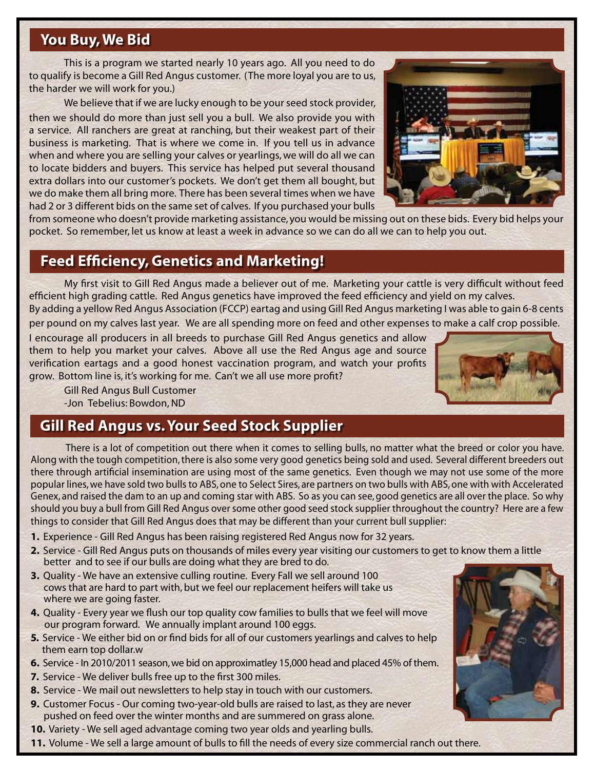### **You Buy, We Bid**

This is a program we started nearly 10 years ago. All you need to do to qualify is become a Gill Red Angus customer. (The more loyal you are to us, the harder we will work for you.)

We believe that if we are lucky enough to be your seed stock provider, then we should do more than just sell you a bull. We also provide you with a service. All ranchers are great at ranching, but their weakest part of their business is marketing. That is where we come in. If you tell us in advance when and where you are selling your calves or yearlings, we will do all we can to locate bidders and buyers. This service has helped put several thousand extra dollars into our customer's pockets. We don't get them all bought, but we do make them all bring more. There has been several times when we have had 2 or 3 different bids on the same set of calves. If you purchased your bulls



from someone who doesn't provide marketing assistance, you would be missing out on these bids. Every bid helps your pocket. So remember, let us know at least a week in advance so we can do all we can to help you out.

### **Feed Efficiency, Genetics and Marketing!**

My first visit to Gill Red Angus made a believer out of me. Marketing your cattle is very difficult without feed efficient high grading cattle. Red Angus genetics have improved the feed efficiency and yield on my calves. By adding a yellow Red Angus Association (FCCP) eartag and using Gill Red Angus marketing I was able to gain 6-8 cents

per pound on my calves last year. We are all spending more on feed and other expenses to make a calf crop possible.

I encourage all producers in all breeds to purchase Gill Red Angus genetics and allow them to help you market your calves. Above all use the Red Angus age and source verification eartags and a good honest vaccination program, and watch your profits grow. Bottom line is, it's working for me. Can't we all use more profit?

Gill Red Angus Bull Customer -Jon Tebelius: Bowdon, ND

# **Gill Red Angus vs. Your Seed Stock Supplier**

There is a lot of competition out there when it comes to selling bulls, no matter what the breed or color you have. Along with the tough competition, there is also some very good genetics being sold and used. Several different breeders out there through artificial insemination are using most of the same genetics. Even though we may not use some of the more popular lines, we have sold two bulls to ABS, one to Select Sires, are partners on two bulls with ABS, one with with Accelerated Genex, and raised the dam to an up and coming star with ABS. So as you can see, good genetics are all over the place. So why should you buy a bull from Gill Red Angus over some other good seed stock supplier throughout the country? Here are a few things to consider that Gill Red Angus does that may be different than your current bull supplier:

- **1.** Experience Gill Red Angus has been raising registered Red Angus now for 32 years.
- **2.** Service Gill Red Angus puts on thousands of miles every year visiting our customers to get to know them a little better and to see if our bulls are doing what they are bred to do.
- **3.** Quality We have an extensive culling routine. Every Fall we sell around 100 cows that are hard to part with, but we feel our replacement heifers will take us where we are going faster.
- **4.** Quality Every year we flush our top quality cow families to bulls that we feel will move our program forward. We annually implant around 100 eggs.
- **5.** Service We either bid on or find bids for all of our customers yearlings and calves to help them earn top dollar.w
- **6.** Service In 2010/2011 season, we bid on approximatley 15,000 head and placed 45% of them.
- **7.** Service We deliver bulls free up to the first 300 miles.
- **8.** Service We mail out newsletters to help stay in touch with our customers.
- **9.** Customer Focus Our coming two-year-old bulls are raised to last, as they are never pushed on feed over the winter months and are summered on grass alone.
- **10.** Variety We sell aged advantage coming two year olds and yearling bulls.
- **11.** Volume We sell a large amount of bulls to fill the needs of every size commercial ranch out there.

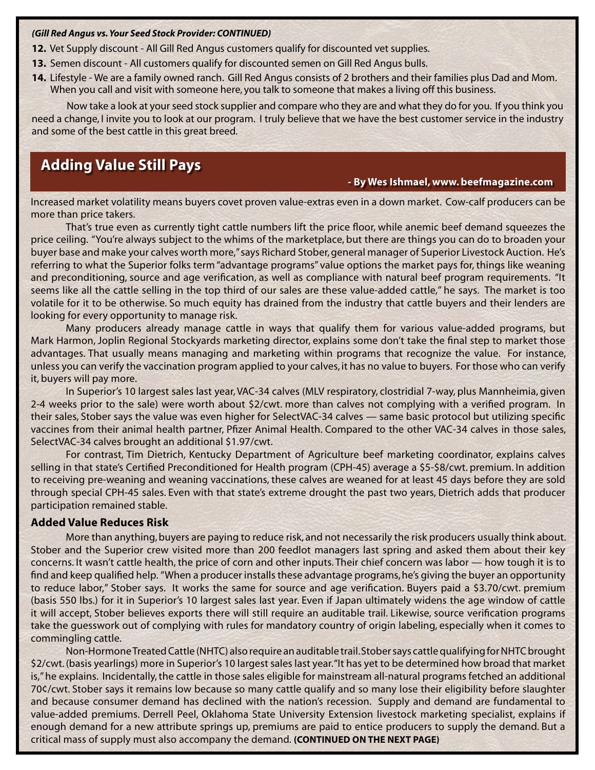#### *(Gill Red Angus vs. Your Seed Stock Provider: CONTINUED)*

- **12.** Vet Supply discount All Gill Red Angus customers qualify for discounted vet supplies.
- **13.** Semen discount All customers qualify for discounted semen on Gill Red Angus bulls.
- **14.** Lifestyle We are a family owned ranch. Gill Red Angus consists of 2 brothers and their families plus Dad and Mom. When you call and visit with someone here, you talk to someone that makes a living off this business.

Now take a look at your seed stock supplier and compare who they are and what they do for you. If you think you need a change, I invite you to look at our program. I truly believe that we have the best customer service in the industry and some of the best cattle in this great breed.

### **Adding Value Still Pays**

#### **- By Wes Ishmael, www. beefmagazine.com**

Increased market volatility means buyers covet proven value-extras even in a down market. Cow-calf producers can be more than price takers.

That's true even as currently tight cattle numbers lift the price floor, while anemic beef demand squeezes the price ceiling. "You're always subject to the whims of the marketplace, but there are things you can do to broaden your buyer base and make your calves worth more," says Richard Stober, general manager of Superior Livestock Auction. He's referring to what the Superior folks term "advantage programs" value options the market pays for, things like weaning and preconditioning, source and age verification, as well as compliance with natural beef program requirements. "It seems like all the cattle selling in the top third of our sales are these value-added cattle," he says. The market is too volatile for it to be otherwise. So much equity has drained from the industry that cattle buyers and their lenders are looking for every opportunity to manage risk.

Many producers already manage cattle in ways that qualify them for various value-added programs, but Mark Harmon, Joplin Regional Stockyards marketing director, explains some don't take the final step to market those advantages. That usually means managing and marketing within programs that recognize the value. For instance, unless you can verify the vaccination program applied to your calves, it has no value to buyers. For those who can verify it, buyers will pay more.

In Superior's 10 largest sales last year, VAC-34 calves (MLV respiratory, clostridial 7-way, plus Mannheimia, given 2-4 weeks prior to the sale) were worth about \$2/cwt. more than calves not complying with a verified program. In their sales, Stober says the value was even higher for SelectVAC-34 calves — same basic protocol but utilizing specific vaccines from their animal health partner, Pfizer Animal Health. Compared to the other VAC-34 calves in those sales, SelectVAC-34 calves brought an additional \$1.97/cwt.

For contrast, Tim Dietrich, Kentucky Department of Agriculture beef marketing coordinator, explains calves selling in that state's Certified Preconditioned for Health program (CPH-45) average a \$5-\$8/cwt. premium. In addition to receiving pre-weaning and weaning vaccinations, these calves are weaned for at least 45 days before they are sold through special CPH-45 sales. Even with that state's extreme drought the past two years, Dietrich adds that producer participation remained stable.

#### **Added Value Reduces Risk**

More than anything, buyers are paying to reduce risk, and not necessarily the risk producers usually think about. Stober and the Superior crew visited more than 200 feedlot managers last spring and asked them about their key concerns. It wasn't cattle health, the price of corn and other inputs. Their chief concern was labor — how tough it is to find and keep qualified help. "When a producer installs these advantage programs, he's giving the buyer an opportunity to reduce labor," Stober says. It works the same for source and age verification. Buyers paid a \$3.70/cwt. premium (basis 550 lbs.) for it in Superior's 10 largest sales last year. Even if Japan ultimately widens the age window of cattle it will accept, Stober believes exports there will still require an auditable trail. Likewise, source verification programs take the guesswork out of complying with rules for mandatory country of origin labeling, especially when it comes to commingling cattle.

Non-Hormone Treated Cattle (NHTC) also require an auditable trail. Stober says cattle qualifying for NHTC brought \$2/cwt. (basis yearlings) more in Superior's 10 largest sales last year. "It has yet to be determined how broad that market is," he explains. Incidentally, the cattle in those sales eligible for mainstream all-natural programs fetched an additional 70¢/cwt. Stober says it remains low because so many cattle qualify and so many lose their eligibility before slaughter and because consumer demand has declined with the nation's recession. Supply and demand are fundamental to value-added premiums. Derrell Peel, Oklahoma State University Extension livestock marketing specialist, explains if enough demand for a new attribute springs up, premiums are paid to entice producers to supply the demand. But a critical mass of supply must also accompany the demand. **(CONTINUED ON THE NEXT PAGE)**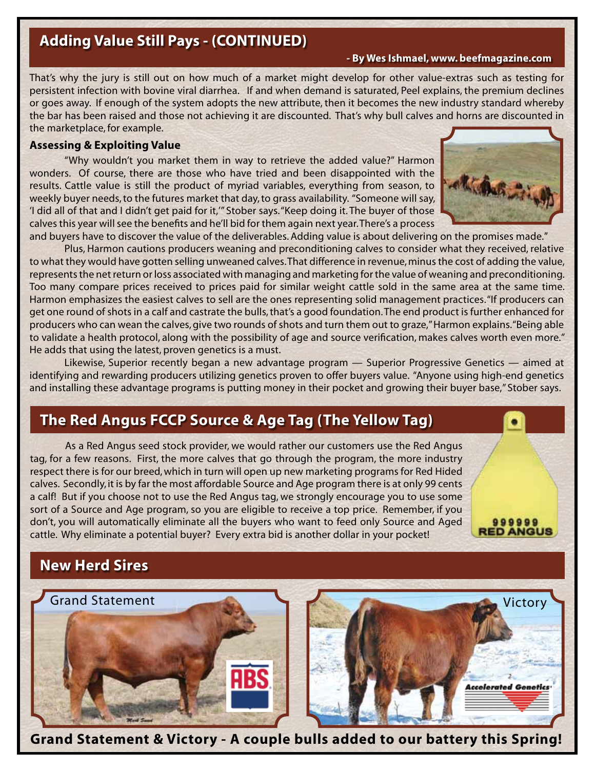# **Adding Value Still Pays - (CONTINUED)**

 **- By Wes Ishmael, www. beefmagazine.com**

That's why the jury is still out on how much of a market might develop for other value-extras such as testing for persistent infection with bovine viral diarrhea. If and when demand is saturated, Peel explains, the premium declines or goes away. If enough of the system adopts the new attribute, then it becomes the new industry standard whereby the bar has been raised and those not achieving it are discounted. That's why bull calves and horns are discounted in the marketplace, for example.

#### **Assessing & Exploiting Value**

"Why wouldn't you market them in way to retrieve the added value?" Harmon wonders. Of course, there are those who have tried and been disappointed with the results. Cattle value is still the product of myriad variables, everything from season, to weekly buyer needs, to the futures market that day, to grass availability. "Someone will say, 'I did all of that and I didn't get paid for it,'" Stober says. "Keep doing it. The buyer of those calves this year will see the benefits and he'll bid for them again next year. There's a process



999999 **ED ANGUS** 

**Accelerated Genetics** 

and buyers have to discover the value of the deliverables. Adding value is about delivering on the promises made." Plus, Harmon cautions producers weaning and preconditioning calves to consider what they received, relative to what they would have gotten selling unweaned calves. That difference in revenue, minus the cost of adding the value, represents the net return or loss associated with managing and marketing for the value of weaning and preconditioning. Too many compare prices received to prices paid for similar weight cattle sold in the same area at the same time. Harmon emphasizes the easiest calves to sell are the ones representing solid management practices. "If producers can get one round of shots in a calf and castrate the bulls, that's a good foundation. The end product is further enhanced for producers who can wean the calves, give two rounds of shots and turn them out to graze," Harmon explains. "Being able to validate a health protocol, along with the possibility of age and source verification, makes calves worth even more." He adds that using the latest, proven genetics is a must.

Likewise, Superior recently began a new advantage program — Superior Progressive Genetics — aimed at identifying and rewarding producers utilizing genetics proven to offer buyers value. "Anyone using high-end genetics and installing these advantage programs is putting money in their pocket and growing their buyer base," Stober says.

# **The Red Angus FCCP Source & Age Tag (The Yellow Tag)**

As a Red Angus seed stock provider, we would rather our customers use the Red Angus tag, for a few reasons. First, the more calves that go through the program, the more industry respect there is for our breed, which in turn will open up new marketing programs for Red Hided calves. Secondly, it is by far the most affordable Source and Age program there is at only 99 cents a calf! But if you choose not to use the Red Angus tag, we strongly encourage you to use some sort of a Source and Age program, so you are eligible to receive a top price. Remember, if you don't, you will automatically eliminate all the buyers who want to feed only Source and Aged cattle. Why eliminate a potential buyer? Every extra bid is another dollar in your pocket!

# **New Herd Sires**



**Grand Statement & Victory - A couple bulls added to our battery this Spring!**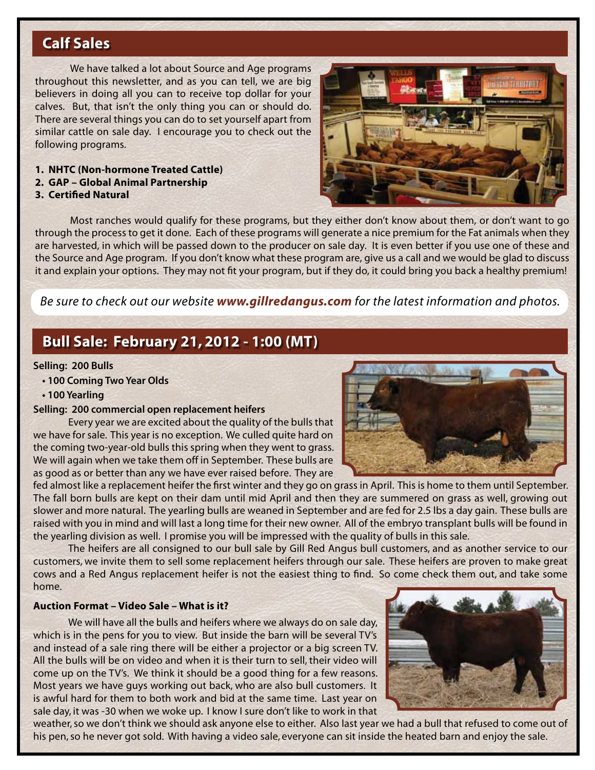# **Calf Sales**

We have talked a lot about Source and Age programs throughout this newsletter, and as you can tell, we are big believers in doing all you can to receive top dollar for your calves. But, that isn't the only thing you can or should do. There are several things you can do to set yourself apart from similar cattle on sale day. I encourage you to check out the following programs.

- **1. NHTC (Non-hormone Treated Cattle)**
- **2. GAP Global Animal Partnership**
- **3. Certified Natural**



Most ranches would qualify for these programs, but they either don't know about them, or don't want to go through the process to get it done. Each of these programs will generate a nice premium for the Fat animals when they are harvested, in which will be passed down to the producer on sale day. It is even better if you use one of these and the Source and Age program. If you don't know what these program are, give us a call and we would be glad to discuss it and explain your options. They may not fit your program, but if they do, it could bring you back a healthy premium!

*Be sure to check out our website www.gillredangus.com for the latest information and photos.* 

### **Bull Sale: February 21, 2012 - 1:00 (MT)**

#### **Selling: 200 Bulls**

- **100 Coming Two Year Olds**
- **100 Yearling**

#### **Selling: 200 commercial open replacement heifers**

Every year we are excited about the quality of the bulls that we have for sale. This year is no exception. We culled quite hard on the coming two-year-old bulls this spring when they went to grass. We will again when we take them off in September. These bulls are as good as or better than any we have ever raised before. They are

fed almost like a replacement heifer the first winter and they go on grass in April. This is home to them until September. The fall born bulls are kept on their dam until mid April and then they are summered on grass as well, growing out slower and more natural. The yearling bulls are weaned in September and are fed for 2.5 lbs a day gain. These bulls are raised with you in mind and will last a long time for their new owner. All of the embryo transplant bulls will be found in the yearling division as well. I promise you will be impressed with the quality of bulls in this sale.

The heifers are all consigned to our bull sale by Gill Red Angus bull customers, and as another service to our customers, we invite them to sell some replacement heifers through our sale. These heifers are proven to make great cows and a Red Angus replacement heifer is not the easiest thing to find. So come check them out, and take some home.

#### **Auction Format – Video Sale – What is it?**

We will have all the bulls and heifers where we always do on sale day, which is in the pens for you to view. But inside the barn will be several TV's and instead of a sale ring there will be either a projector or a big screen TV. All the bulls will be on video and when it is their turn to sell, their video will come up on the TV's. We think it should be a good thing for a few reasons. Most years we have guys working out back, who are also bull customers. It is awful hard for them to both work and bid at the same time. Last year on sale day, it was -30 when we woke up. I know I sure don't like to work in that



weather, so we don't think we should ask anyone else to either. Also last year we had a bull that refused to come out of his pen, so he never got sold. With having a video sale, everyone can sit inside the heated barn and enjoy the sale.